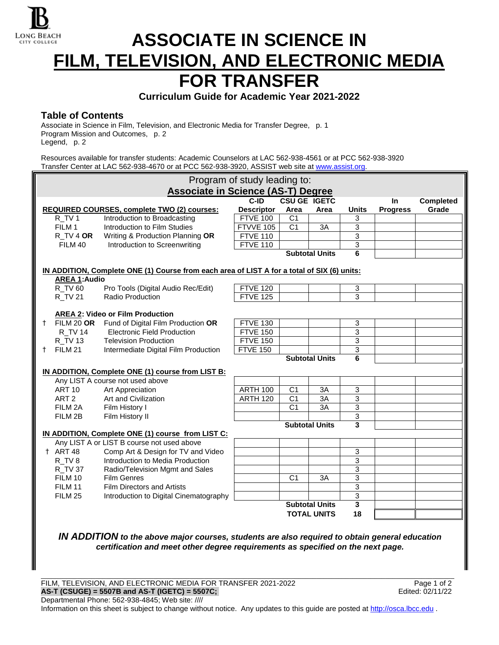

# **ASSOCIATE IN SCIENCE IN FILM, TELEVISION, AND ELECTRONIC MEDIA FOR TRANSFER**

**Curriculum Guide for Academic Year 2021-2022**

## **Table of Contents**

Associate in Science in Film, Television, and Electronic Media for Transfer Degree, p. 1 Program Mission and Outcomes, p. 2 Legend, p. 2

Resources available for transfer students: Academic Counselors at LAC 562-938-4561 or at PCC 562-938-3920 Transfer Center at LAC 562-938-4670 or at PCC 562-938-3920, ASSIST web site a[t www.assist.org.](http://www.assist.org/)

|                                                   |                                                                                             | Program of study leading to:                       |                   |                       |                       |              |                 |                  |  |  |  |
|---------------------------------------------------|---------------------------------------------------------------------------------------------|----------------------------------------------------|-------------------|-----------------------|-----------------------|--------------|-----------------|------------------|--|--|--|
|                                                   |                                                                                             | <b>Associate in Science (AS-T) Degree</b>          |                   |                       |                       |              |                 |                  |  |  |  |
|                                                   |                                                                                             |                                                    | C-ID              | <b>CSU GE IGETC</b>   |                       |              | In              | <b>Completed</b> |  |  |  |
|                                                   |                                                                                             | <b>REQUIRED COURSES, complete TWO (2) courses:</b> | <b>Descriptor</b> | Area                  | Area                  | <b>Units</b> | <b>Progress</b> | Grade            |  |  |  |
|                                                   | R_TV1                                                                                       | Introduction to Broadcasting                       | <b>FTVE 100</b>   | C <sub>1</sub>        |                       | 3            |                 |                  |  |  |  |
|                                                   | FILM 1                                                                                      | Introduction to Film Studies                       | FTVVE 105         | C <sub>1</sub>        | 3A                    | 3            |                 |                  |  |  |  |
|                                                   | R TV 4 OR                                                                                   | Writing & Production Planning OR                   | <b>FTVE 110</b>   |                       |                       | 3            |                 |                  |  |  |  |
|                                                   | FILM 40                                                                                     | Introduction to Screenwriting                      | <b>FTVE 110</b>   |                       |                       | 3            |                 |                  |  |  |  |
|                                                   |                                                                                             |                                                    |                   |                       | <b>Subtotal Units</b> | 6            |                 |                  |  |  |  |
|                                                   | IN ADDITION, Complete ONE (1) Course from each area of LIST A for a total of SIX (6) units: |                                                    |                   |                       |                       |              |                 |                  |  |  |  |
|                                                   | <b>AREA 1:Audio</b>                                                                         |                                                    |                   |                       |                       |              |                 |                  |  |  |  |
|                                                   | R TV 60                                                                                     | Pro Tools (Digital Audio Rec/Edit)                 | <b>FTVE 120</b>   |                       |                       | 3            |                 |                  |  |  |  |
|                                                   | <b>R_TV 21</b>                                                                              | Radio Production                                   | <b>FTVE 125</b>   |                       |                       | 3            |                 |                  |  |  |  |
|                                                   |                                                                                             |                                                    |                   |                       |                       |              |                 |                  |  |  |  |
|                                                   |                                                                                             | <b>AREA 2: Video or Film Production</b>            |                   |                       |                       |              |                 |                  |  |  |  |
|                                                   |                                                                                             | † FILM 20 OR Fund of Digital Film Production OR    | <b>FTVE 130</b>   |                       |                       | 3            |                 |                  |  |  |  |
|                                                   | <b>R_TV 14</b>                                                                              | Electronic Field Production                        | <b>FTVE 150</b>   |                       |                       | 3            |                 |                  |  |  |  |
|                                                   | <b>R_TV 13</b>                                                                              | <b>Television Production</b>                       | <b>FTVE 150</b>   |                       |                       | 3            |                 |                  |  |  |  |
|                                                   | † FILM 21                                                                                   | Intermediate Digital Film Production               | <b>FTVE 150</b>   |                       |                       | 3            |                 |                  |  |  |  |
|                                                   |                                                                                             |                                                    |                   |                       | <b>Subtotal Units</b> | 6            |                 |                  |  |  |  |
| IN ADDITION, Complete ONE (1) course from LIST B: |                                                                                             |                                                    |                   |                       |                       |              |                 |                  |  |  |  |
|                                                   |                                                                                             | Any LIST A course not used above                   |                   |                       |                       |              |                 |                  |  |  |  |
|                                                   | <b>ART 10</b>                                                                               | Art Appreciation                                   | <b>ARTH 100</b>   | C <sub>1</sub>        | 3A                    | 3            |                 |                  |  |  |  |
|                                                   | ART <sub>2</sub>                                                                            | Art and Civilization                               | <b>ARTH 120</b>   | C <sub>1</sub>        | 3A                    | 3            |                 |                  |  |  |  |
|                                                   | FILM 2A                                                                                     | Film History I                                     |                   | C <sub>1</sub>        | 3A                    | 3            |                 |                  |  |  |  |
|                                                   | FILM 2B                                                                                     | Film History II                                    |                   |                       |                       | $\mathbf{3}$ |                 |                  |  |  |  |
|                                                   |                                                                                             |                                                    |                   |                       | <b>Subtotal Units</b> | 3            |                 |                  |  |  |  |
|                                                   |                                                                                             | IN ADDITION, Complete ONE (1) course from LIST C:  |                   |                       |                       |              |                 |                  |  |  |  |
|                                                   |                                                                                             | Any LIST A or LIST B course not used above         |                   |                       |                       |              |                 |                  |  |  |  |
|                                                   | † ART 48                                                                                    | Comp Art & Design for TV and Video                 |                   |                       |                       | 3            |                 |                  |  |  |  |
|                                                   | R TV 8                                                                                      | Introduction to Media Production                   |                   |                       |                       | 3            |                 |                  |  |  |  |
|                                                   | <b>R_TV 37</b>                                                                              | Radio/Television Mgmt and Sales                    |                   |                       |                       | 3            |                 |                  |  |  |  |
|                                                   | FILM 10                                                                                     | <b>Film Genres</b>                                 |                   | C <sub>1</sub>        | 3A                    | 3            |                 |                  |  |  |  |
|                                                   | FILM 11                                                                                     | <b>Film Directors and Artists</b>                  |                   |                       |                       | 3            |                 |                  |  |  |  |
|                                                   | <b>FILM 25</b>                                                                              | Introduction to Digital Cinematography             |                   |                       |                       | 3            |                 |                  |  |  |  |
|                                                   |                                                                                             |                                                    |                   | <b>Subtotal Units</b> |                       | 3            |                 |                  |  |  |  |
|                                                   |                                                                                             |                                                    |                   | <b>TOTAL UNITS</b>    |                       | 18           |                 |                  |  |  |  |
|                                                   |                                                                                             |                                                    |                   |                       |                       |              |                 |                  |  |  |  |

*IN ADDITION to the above major courses, students are also required to obtain general education certification and meet other degree requirements as specified on the next page.*

\_\_\_\_\_\_\_\_\_\_\_\_\_\_\_\_\_\_\_\_\_\_\_\_\_\_\_\_\_\_\_\_\_\_\_\_\_\_\_\_\_\_\_\_\_\_\_\_\_\_\_\_\_\_\_\_\_\_\_\_\_\_\_\_\_\_\_\_\_\_\_\_\_\_\_\_\_\_\_\_\_\_\_\_\_\_\_\_\_\_\_\_\_\_\_\_\_\_\_\_\_\_\_\_\_\_\_\_\_\_\_\_\_\_

FILM, TELEVISION, AND ELECTRONIC MEDIA FOR TRANSFER 2021-2022<br>**AS-T (CSUGE) = 5507B and AS-T (IGETC) = 5507C;**<br>Edited: 02/11/22 **AS-T (CSUGE) = 5507B and AS-T (IGETC) = 5507C;** Departmental Phone: 562-938-4845; Web site: ////

Information on this sheet is subject to change without notice. Any updates to this guide are posted a[t http://osca.lbcc.edu](http://osca.lbcc.edu/) .